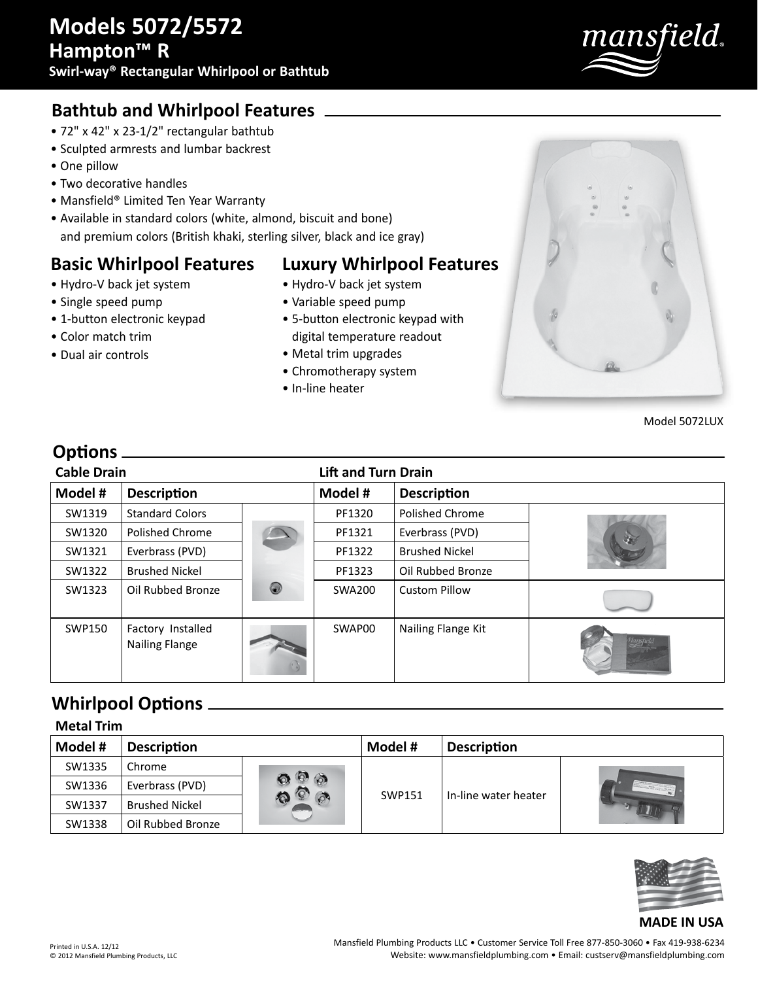

## **Bathtub and Whirlpool Features**

- 72" x 42" x 23-1/2" rectangular bathtub
- Sculpted armrests and lumbar backrest
- One pillow
- Two decorative handles

• Hydro-V back jet system • Single speed pump

• Color match trim • Dual air controls

• 1-button electronic keypad

- Mansfield® Limited Ten Year Warranty
- Available in standard colors (white, almond, biscuit and bone) and premium colors (British khaki, sterling silver, black and ice gray)

#### **Basic Whirlpool Features**

# **Luxury Whirlpool Features**

- Hydro-V back jet system
- Variable speed pump
- 5-button electronic keypad with digital temperature readout
- Metal trim upgrades
- Chromotherapy system
- In-line heater



Model 5072LUX

#### **Options**

| <b>Cable Drain</b> |                                            |   | <b>Lift and Turn Drain</b> |                       |  |
|--------------------|--------------------------------------------|---|----------------------------|-----------------------|--|
| Model #            | <b>Description</b>                         |   | Model #                    | <b>Description</b>    |  |
| SW1319             | <b>Standard Colors</b>                     |   | PF1320                     | Polished Chrome       |  |
| SW1320             | Polished Chrome                            |   | PF1321                     | Everbrass (PVD)       |  |
| SW1321             | Everbrass (PVD)                            |   | PF1322                     | <b>Brushed Nickel</b> |  |
| SW1322             | <b>Brushed Nickel</b>                      |   | PF1323                     | Oil Rubbed Bronze     |  |
| SW1323             | Oil Rubbed Bronze                          | 0 | SWA200                     | <b>Custom Pillow</b>  |  |
| SWP150             | Factory Installed<br><b>Nailing Flange</b> |   | SWAP00                     | Nailing Flange Kit    |  |

### **Whirlpool Options**

|--|

| Model # | <b>Description</b>    |     | Model #       | <b>Description</b>   |  |
|---------|-----------------------|-----|---------------|----------------------|--|
| SW1335  | Chrome                | ЛÀ. | <b>SWP151</b> | In-line water heater |  |
| SW1336  | Everbrass (PVD)       |     |               |                      |  |
| SW1337  | <b>Brushed Nickel</b> |     |               |                      |  |
| SW1338  | Oil Rubbed Bronze     |     |               |                      |  |



#### **MADE IN USA**